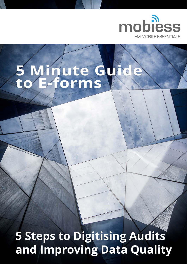

# 5 Minute Gy<br>to E-forms

**5 Steps to Digitising Audits** and Improving Data Quality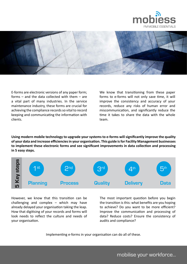



E-forms are electronic versions of any paper form; forms – and the data collected with them – are a vital part of many industries. In the service maintenance industry, these forms are crucial for achieving the compliance records so vital to record keeping and communicating the information with clients.

We know that transitioning from these paper forms to e-forms will not only save time, it will improve the consistency and accuracy of your records, reduce any risks of human error and miscommunication, and significantly reduce the time it takes to share the data with the whole team.

**Using modern mobile technology to upgrade your systems to e-forms will significantly improve the quality of your data and increase efficiencies in your organisation. This guide is for Facility Management businesses to implement these electronic forms and see significant improvements in data collection and processing in 5 easy steps.**



However, we know that this transition can be challenging and complex – which may have already delayed your organisation taking the leap. How that digitising of your records and forms will look needs to reflect the culture and needs of your organisation.

The most important question before you begin the transition is this: what benefits are you hoping to achieve? Do you want to be more efficient? Improve the communication and processing of data? Reduce costs? Ensure the consistency of audits and compliance?

Implementing e-forms in your organisation can do all of these.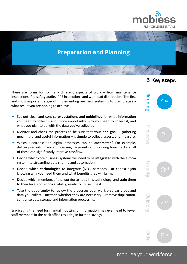

## **Preparation and Planning**

There are forms for so many different aspects of work – from maintenance inspections, fire safety audits, PPE inspections and workload distribution. The first and most important stage of implementing any new system is to plan precisely what result you are hoping to achieve.

- Set out clear and concise **expectations and guidelines** for what information you need to collect – and, more importantly, why you need to collect it, and what you plan to do with the data you've collected.
- Monitor and check the process to be sure that your **end goal** gathering meaningful and useful information – is simple to collect, assess, and measure.
- Which electronic and digital processes can be **automated**? For example, delivery records, invoice processing, payments and working hour trackers; all of these can significantly improve cashflow.
- Decide which core business systems will need to be **integrated** with the e-form system, to streamline data sharing and automation.
- Decide which **technologies** to integrate (NFC, barcodes, QR codes) again knowing why you need them and what benefits they will bring.
- Decide which members of the workforce need this technology, and **train** them to their levels of technical ability, ready to utilise it best.
- Take the opportunity to review the processes your workforce carry out and data you collect. Question whether they are necessary – remove duplication, centralise data storage and information processing.

Eradicating the need for manual inputting of information may even lead to fewer staff members in the back office resulting in further savings.

## **5 Key steps**





 $5^{\text{tr}}$ 

mobilise your workforce...

**D a t a**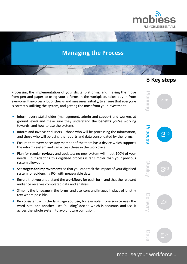

# **Managing the Process**

Processing the implementation of your digital platforms, and making the move from pen and paper to using your e-forms in the workplace, takes buy in from everyone. It involves a lot of checks and measures initially, to ensure that everyone is correctly utilising the system, and getting the most from your investment.

- Inform every stakeholder (management, admin and support and workers at ground level) and make sure they understand the **benefits** you're working towards, and how to use the systems.
- $\bullet$  Inform and involve end-users those who will be processing the information, and those who will be using the reports and data consolidated by the forms.
- $\bullet$  Ensure that every necessary member of the team has a device which supports the e-forms system and can access these in the workplace.
- Plan for regular **reviews** and updates; no new system will meet 100% of your needs – but adapting this digitised process is far simpler than your previous system allowed for.
- Set **targets for improvements** so that you can track the impact of your digitised system for evidencing ROI with measurable data.
- Ensure that you understand the **workflows** for each form and that the relevant audience receives completed data and analysis.
- Simplify the **language** in the forms, and use icons and images in place of lengthy text where possible.
- $\bullet$  Be consistent with the language you use; for example if one source uses the word 'site' and another uses 'building' decide which is accurate, and use it across the whole system to avoid future confusion.

#### **5 Key steps**

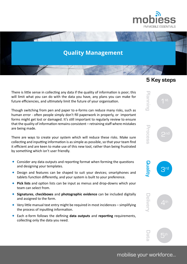

# **Quality Management**

There is little sense in collecting any data if the quality of information is poor; this will limit what you can do with the data you have, any plans you can make for future efficiencies, and ultimately limit the future of your organisation.

Though switching from pen and paper to e-forms can reduce many risks, such as human error - often people simply don't fill paperwork in properly, or important forms might get lost or damaged. It's still important to regularly review to ensure that the quality of information remains consistent – retraining staff where mistakes are being made.

There are ways to create your system which will reduce these risks. Make sure collecting and inputting information is as simple as possible, so that your team find it efficient and are keen to make use of this new tool, rather than being frustrated by something which isn't user friendly.

- Consider any data outputs and reporting format when forming the questions and designing your templates.
- Design and features can be shaped to suit your devices; smartphones and tablets function differently, and your system is built to your preference.
- **Pick lists** and option lists can be input as menus and drop-downs which your team can select from.
- **Signatures**, **checkboxes** and **photographic evidence** can be included digitally and assigned to the form.
- $\bullet$  Very little manual text entry might be required in most incidences simplifying the process of inputting information.
- Each e-form follows the defining **data outputs** and **reporting** requirements, collecting only the data you need.

#### **5 Key steps**

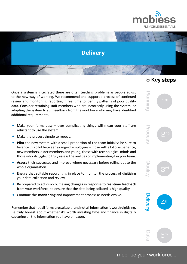

# **Delivery**

Once a system is integrated there are often teething problems as people adjust to the new way of working. We recommend and support a process of continued review and monitoring, reporting in real time to identify patterns of poor quality data. Consider retraining staff members who are incorrectly using the system, or adapting the system to suit feedback from the workforce who may have identified additional requirements.

- Make your forms easy  $-$  over complicating things will mean your staff are reluctant to use the system.
- $\bullet$  Make the process simple to repeat.
- **Pilot** the new system with a small proportion of the team initially: be sure to balance this pilot between a range of employees – those with a lot of experience, new members, older members and young, those with technological minds and those who struggle, to truly assess the realities of implementing it in your team.
- **Assess** their successes and improve where necessary before rolling out to the whole organisation.
- Ensure that suitable reporting is in place to monitor the process of digitising your data collection and review.
- Be prepared to act quickly, making changes in response to **real-time feedback** from your workforce, to ensure that the data being collated is high quality.
- Continue this **monitoring** and improvement process as needs evolve.

Remember that not all forms are suitable, and not all information is worth digitising. Be truly honest about whether it's worth investing time and finance in digitally capturing all the information you have on paper.

## **5 Key steps**

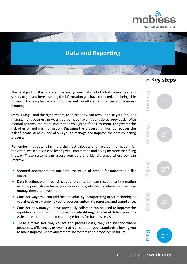

## **Data and Reporting**

The final part of this process is assessing your data: all of what comes before is simply to get you here – seeing the information you have collected, and being able to use it for compliance and improvements in efficiency, finances and business planning.

**Data is King** – and the right system, used properly, can revolutionise your facilities management business in ways you perhaps haven't considered previously. With manual systems, the more information you gather for assessment, the greater the risk of error and misinformation. Digitising the process significantly reduces the risk of inconsistencies, and allows you to manage and improve the data collecting process.

Remember that data is far more than just snippets of unrelated information; far too often, we see people collecting vital information and doing no more than filing it away. These systems can assess your data and identify areas where you can improve.

- Scanned documents are not data; the **value of data** is far more than a flat image.
- Data is actionable in **real time**; your organisation can respond to information as it happens, streamlining your work orders, identifying where you can save money, time and investment.
- Consider ways you can add further value by incorporating other technologies you already use – simplify your processes, **automate reporting** and compliance.
- Consider how data you have previously collected can be used to improve the repetition of information – for example, **identifying patterns of data** in previous visits or records and pre-populating e-forms for future site visits.
- These e-forms not only collect and process data, they can identify where processes, efficiencies or even staff do not meet your standards allowing you to make improvements and streamline systems and processes in future.

#### **5 Key steps**